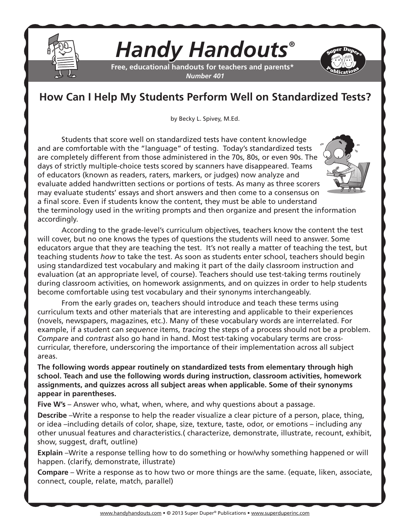

## *Handy Handouts®*

**Free, educational handouts for teachers and parents\*** *Number 401*

## **How Can I Help My Students Perform Well on Standardized Tests?**

by Becky L. Spivey, M.Ed.

Students that score well on standardized tests have content knowledge and are comfortable with the "language" of testing. Today's standardized tests are completely different from those administered in the 70s, 80s, or even 90s. The days of strictly multiple-choice tests scored by scanners have disappeared. Teams of educators (known as readers, raters, markers, or judges) now analyze and evaluate added handwritten sections or portions of tests. As many as three scorers may evaluate students' essays and short answers and then come to a consensus on a final score. Even if students know the content, they must be able to understand the terminology used in the writing prompts and then organize and present the information accordingly.

According to the grade-level's curriculum objectives, teachers know the content the test will cover, but no one knows the types of questions the students will need to answer. Some educators argue that they are teaching the test. It's not really a matter of teaching the test, but teaching students *how* to take the test. As soon as students enter school, teachers should begin using standardized test vocabulary and making it part of the daily classroom instruction and evaluation (at an appropriate level, of course). Teachers should use test-taking terms routinely during classroom activities, on homework assignments, and on quizzes in order to help students become comfortable using test vocabulary and their synonyms interchangeably.

From the early grades on, teachers should introduce and teach these terms using curriculum texts and other materials that are interesting and applicable to their experiences (novels, newspapers, magazines, etc.). Many of these vocabulary words are interrelated. For example, if a student can *sequence* items, *tracing* the steps of a process should not be a problem. *Compare* and *contrast* also go hand in hand. Most test-taking vocabulary terms are crosscurricular, therefore, underscoring the importance of their implementation across all subject areas.

**The following words appear routinely on standardized tests from elementary through high school. Teach and use the following words during instruction, classroom activities, homework assignments, and quizzes across all subject areas when applicable. Some of their synonyms appear in parentheses.**

**Five W's** – Answer who, what, when, where, and why questions about a passage.

**Describe** –Write a response to help the reader visualize a clear picture of a person, place, thing, or idea –including details of color, shape, size, texture, taste, odor, or emotions – including any other unusual features and characteristics.( characterize, demonstrate, illustrate, recount, exhibit, show, suggest, draft, outline)

**Explain** –Write a response telling how to do something or how/why something happened or will happen. (clarify, demonstrate, illustrate)

**Compare** – Write a response as to how two or more things are the same. (equate, liken, associate, connect, couple, relate, match, parallel)